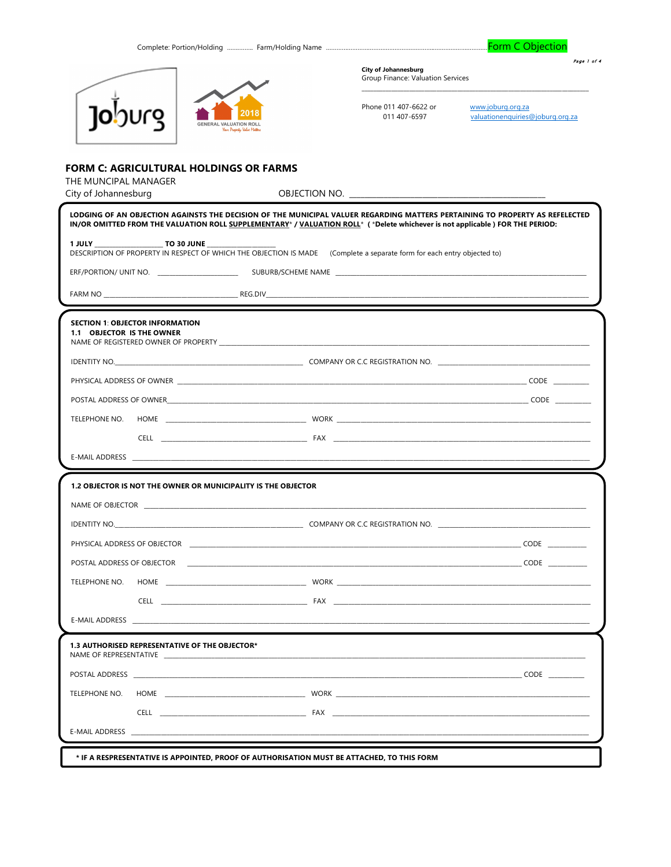Complete: Portion/Holding ............... Farm/Holding Name .....

Form C Objection

Page 1 of 4



**City of Johannesburg** Group Finance: Valuation Services

Phone 011 407-6622 or 011 407-6597

www.joburg.org.za<br>valuationenquiries@joburg.org.za

## FORM C: AGRICULTURAL HOLDINGS OR FARMS

THE MUNCIPAL MANAGER

| City of Johannesburg                                                 | OBJECTION NO. THE CONTROL OF THE CONTROL OF THE CONTROL OF THE CONTROL OF THE CONTROL OF THE CONTROL OF THE CO                                                                                                                                               |
|----------------------------------------------------------------------|--------------------------------------------------------------------------------------------------------------------------------------------------------------------------------------------------------------------------------------------------------------|
|                                                                      | LODGING OF AN OBJECTION AGAINSTS THE DECISION OF THE MUNICIPAL VALUER REGARDING MATTERS PERTAINING TO PROPERTY AS REFELECTED<br>IN/OR OMITTED FROM THE VALUATION ROLL SUPPLEMENTARY* / VALUATION ROLL* (*Delete whichever is not applicable) FOR THE PERIOD: |
|                                                                      | DESCRIPTION OF PROPERTY IN RESPECT OF WHICH THE OBJECTION IS MADE (Complete a separate form for each entry objected to)                                                                                                                                      |
|                                                                      |                                                                                                                                                                                                                                                              |
|                                                                      |                                                                                                                                                                                                                                                              |
| <b>SECTION 1: OBJECTOR INFORMATION</b><br>1.1 OBJECTOR IS THE OWNER  |                                                                                                                                                                                                                                                              |
|                                                                      |                                                                                                                                                                                                                                                              |
|                                                                      |                                                                                                                                                                                                                                                              |
|                                                                      |                                                                                                                                                                                                                                                              |
| TELEPHONE NO.                                                        |                                                                                                                                                                                                                                                              |
|                                                                      |                                                                                                                                                                                                                                                              |
|                                                                      | <u> 1989 - Johann Barnett, fransk kongresu og den senere og den som forskelle og den som forskelle og den som for</u>                                                                                                                                        |
| <b>1.2 OBJECTOR IS NOT THE OWNER OR MUNICIPALITY IS THE OBJECTOR</b> |                                                                                                                                                                                                                                                              |
|                                                                      |                                                                                                                                                                                                                                                              |
|                                                                      | IDENTITY NO. NORTH AND THE RESIDENCE OF A RESIDENCE OF A RESIDENCE OF A RESIDENCE OF A RESIDENCE OF A RESIDENCE OF A RESIDENCE OF A RESIDENCE OF A RESIDENCE OF A RESIDENCE OF A RESIDENCE OF A RESIDENCE OF A RESIDENCE OF A                                |
|                                                                      |                                                                                                                                                                                                                                                              |
|                                                                      |                                                                                                                                                                                                                                                              |
|                                                                      |                                                                                                                                                                                                                                                              |
|                                                                      |                                                                                                                                                                                                                                                              |
|                                                                      |                                                                                                                                                                                                                                                              |
| 1.3 AUTHORISED REPRESENTATIVE OF THE OBJECTOR*                       |                                                                                                                                                                                                                                                              |
|                                                                      |                                                                                                                                                                                                                                                              |
| TELEPHONE NO.                                                        | HOME WORK WORK                                                                                                                                                                                                                                               |
|                                                                      |                                                                                                                                                                                                                                                              |
| <b>E-MAIL ADDRESS</b>                                                |                                                                                                                                                                                                                                                              |
|                                                                      | * IF A RESPRESENTATIVE IS APPOINTED, PROOF OF AUTHORISATION MUST BE ATTACHED, TO THIS FORM                                                                                                                                                                   |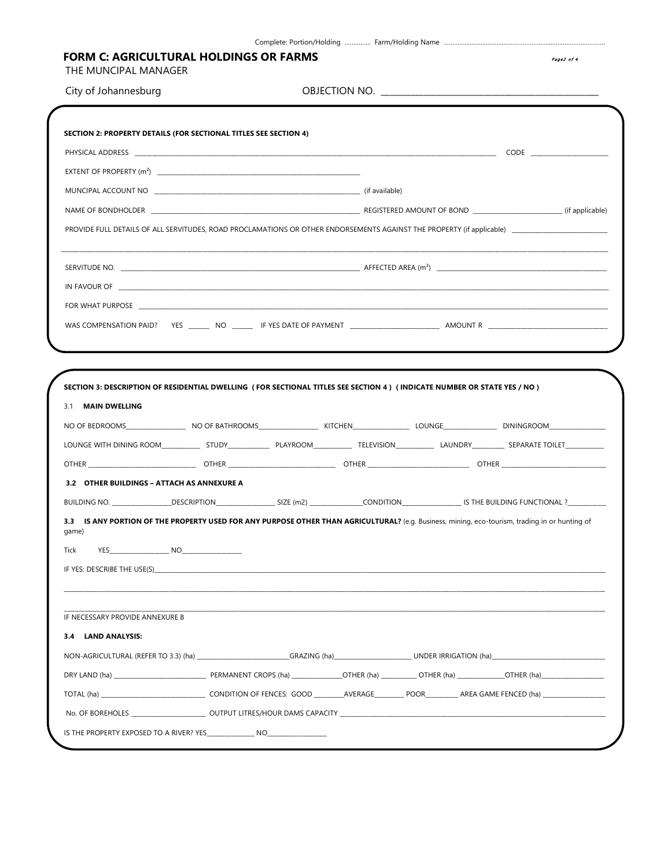| City of Johannesburg                       |                                                                                                                                                                                                                                                                                                          |  |
|--------------------------------------------|----------------------------------------------------------------------------------------------------------------------------------------------------------------------------------------------------------------------------------------------------------------------------------------------------------|--|
|                                            |                                                                                                                                                                                                                                                                                                          |  |
|                                            | SECTION 2: PROPERTY DETAILS (FOR SECTIONAL TITLES SEE SECTION 4)                                                                                                                                                                                                                                         |  |
|                                            |                                                                                                                                                                                                                                                                                                          |  |
|                                            |                                                                                                                                                                                                                                                                                                          |  |
|                                            |                                                                                                                                                                                                                                                                                                          |  |
|                                            |                                                                                                                                                                                                                                                                                                          |  |
|                                            |                                                                                                                                                                                                                                                                                                          |  |
|                                            |                                                                                                                                                                                                                                                                                                          |  |
|                                            |                                                                                                                                                                                                                                                                                                          |  |
|                                            |                                                                                                                                                                                                                                                                                                          |  |
|                                            |                                                                                                                                                                                                                                                                                                          |  |
| 3.1 MAIN DWELLING                          | SECTION 3: DESCRIPTION OF RESIDENTIAL DWELLING (FOR SECTIONAL TITLES SEE SECTION 4) (INDICATE NUMBER OR STATE YES / NO)                                                                                                                                                                                  |  |
|                                            |                                                                                                                                                                                                                                                                                                          |  |
|                                            |                                                                                                                                                                                                                                                                                                          |  |
| 3.2 OTHER BUILDINGS - ATTACH AS ANNEXURE A |                                                                                                                                                                                                                                                                                                          |  |
| game)<br>Tick                              | BUILDING NO. _________________DESCRIPTION____________________SIZE (m2) ______________CONDITION__________________IS THE BUILDING FUNCTIONAL ?__________<br>3.3 IS ANY PORTION OF THE PROPERTY USED FOR ANY PURPOSE OTHER THAN AGRICULTURAL? (e.g. Business, mining, eco-tourism, trading in or hunting of |  |
| IF NECESSARY PROVIDE ANNEXURE B            |                                                                                                                                                                                                                                                                                                          |  |
| 3.4 LAND ANALYSIS:                         |                                                                                                                                                                                                                                                                                                          |  |
|                                            |                                                                                                                                                                                                                                                                                                          |  |
|                                            |                                                                                                                                                                                                                                                                                                          |  |
|                                            |                                                                                                                                                                                                                                                                                                          |  |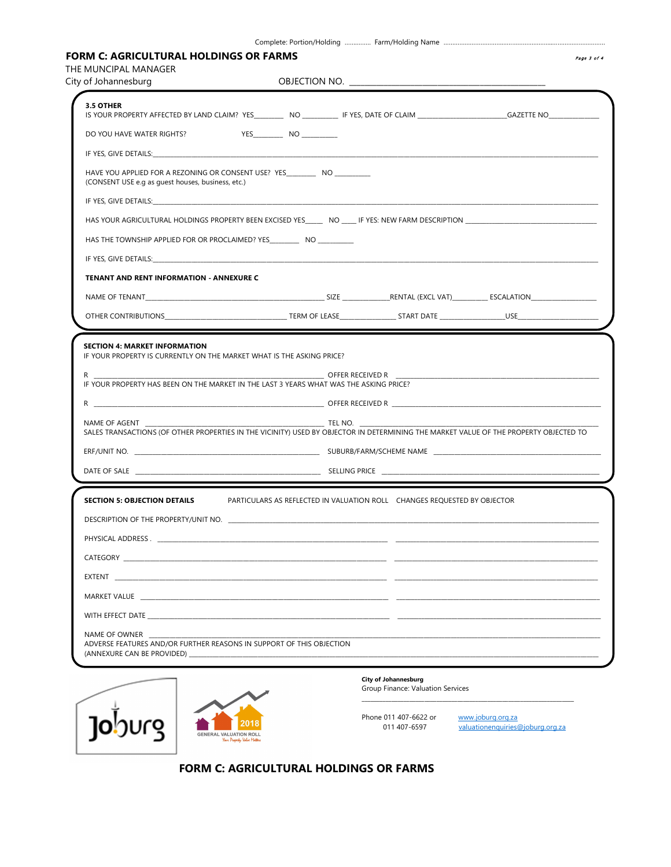|--|--|--|

## FORM C: AGRICULTURAL HOLDINGS OR FARMS **Page 3 of 4**  $_{e_{age}$  3 of 4

THE MUNCIPAL MANAGER<br>City of Johanneshurg

| City of Johannesburg                                                                                                                                                                                                           | OBJECTION NO.                                                               |  |
|--------------------------------------------------------------------------------------------------------------------------------------------------------------------------------------------------------------------------------|-----------------------------------------------------------------------------|--|
| 3.5 OTHER                                                                                                                                                                                                                      |                                                                             |  |
|                                                                                                                                                                                                                                |                                                                             |  |
| DO YOU HAVE WATER RIGHTS?                                                                                                                                                                                                      |                                                                             |  |
| IF YES, GIVE DETAILS: And the state of the state of the state of the state of the state of the state of the state of the state of the state of the state of the state of the state of the state of the state of the state of t |                                                                             |  |
| (CONSENT USE e.g as guest houses, business, etc.)                                                                                                                                                                              | HAVE YOU APPLIED FOR A REZONING OR CONSENT USE? YES _________ NO __________ |  |
| IF YES, GIVE DETAILS: And the contract of the contract of the contract of the contract of the contract of the contract of the contract of the contract of the contract of the contract of the contract of the contract of the  |                                                                             |  |
|                                                                                                                                                                                                                                |                                                                             |  |
| HAS THE TOWNSHIP APPLIED FOR OR PROCLAIMED? YES ___________ NO _________                                                                                                                                                       |                                                                             |  |
|                                                                                                                                                                                                                                |                                                                             |  |
| <b>TENANT AND RENT INFORMATION - ANNEXURE C</b>                                                                                                                                                                                |                                                                             |  |
|                                                                                                                                                                                                                                |                                                                             |  |
|                                                                                                                                                                                                                                |                                                                             |  |
| <b>SECTION 4: MARKET INFORMATION</b><br>IF YOUR PROPERTY IS CURRENTLY ON THE MARKET WHAT IS THE ASKING PRICE?<br>R $\sim$                                                                                                      |                                                                             |  |
|                                                                                                                                                                                                                                |                                                                             |  |
| IF YOUR PROPERTY HAS BEEN ON THE MARKET IN THE LAST 3 YEARS WHAT WAS THE ASKING PRICE?                                                                                                                                         |                                                                             |  |
|                                                                                                                                                                                                                                |                                                                             |  |
| NAME OF AGENT<br>SALES TRANSACTIONS (OF OTHER PROPERTIES IN THE VICINITY) USED BY OBJECTOR IN DETERMINING THE MARKET VALUE OF THE PROPERTY OBJECTED TO                                                                         |                                                                             |  |
|                                                                                                                                                                                                                                |                                                                             |  |
|                                                                                                                                                                                                                                |                                                                             |  |
|                                                                                                                                                                                                                                |                                                                             |  |
| SECTION 5: OBJECTION DETAILS PARTICULARS AS REFLECTED IN VALUATION ROLL CHANGES REQUESTED BY OBJECTOR                                                                                                                          |                                                                             |  |
| DESCRIPTION OF THE PROPERTY/UNIT NO.                                                                                                                                                                                           |                                                                             |  |
|                                                                                                                                                                                                                                |                                                                             |  |
|                                                                                                                                                                                                                                |                                                                             |  |
| EXTENT THE STREET OF THE STREET OF THE STREET OF THE STREET OF THE STREET OF THE STREET OF THE STREET OF THE ST                                                                                                                |                                                                             |  |
|                                                                                                                                                                                                                                |                                                                             |  |
|                                                                                                                                                                                                                                |                                                                             |  |
| NAME OF OWNER<br>ADVERSE FEATURES AND/OR FURTHER REASONS IN SUPPORT OF THIS OBJECTION                                                                                                                                          |                                                                             |  |



FORM C: AGRICULTURAL HOLDINGS OR FARMS